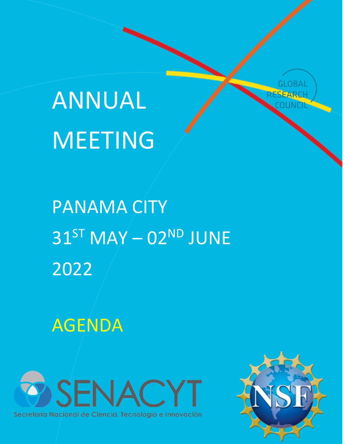



# PANAMA CITY  $31<sup>ST</sup>$  MAY  $-$  02<sup>ND</sup> JUNE 2022

Panama City 31st May – 02nd June

 $\overline{\phantom{a}}$ 

AGENDA



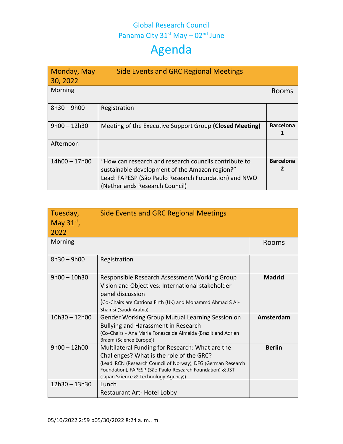## Global Research Council Panama City  $31^{st}$  May –  $02^{nd}$  June

| Monday, May<br>30, 2022 | <b>Side Events and GRC Regional Meetings</b>                                                                                                                                                      |                       |
|-------------------------|---------------------------------------------------------------------------------------------------------------------------------------------------------------------------------------------------|-----------------------|
| Morning                 |                                                                                                                                                                                                   | Rooms                 |
| $8h30 - 9h00$           | Registration                                                                                                                                                                                      |                       |
| $9h00 - 12h30$          | Meeting of the Executive Support Group (Closed Meeting)                                                                                                                                           | <b>Barcelona</b>      |
| Afternoon               |                                                                                                                                                                                                   |                       |
| $14h00 - 17h00$         | "How can research and research councils contribute to<br>sustainable development of the Amazon region?"<br>Lead: FAPESP (São Paulo Research Foundation) and NWO<br>(Netherlands Research Council) | <b>Barcelona</b><br>2 |

| Tuesday,<br>May $31^{st}$ ,<br>2022 | <b>Side Events and GRC Regional Meetings</b>                                                                                                                                                                                                                               |               |
|-------------------------------------|----------------------------------------------------------------------------------------------------------------------------------------------------------------------------------------------------------------------------------------------------------------------------|---------------|
| Morning                             |                                                                                                                                                                                                                                                                            | Rooms         |
| $8h30 - 9h00$                       | Registration                                                                                                                                                                                                                                                               |               |
| $9h00 - 10h30$                      | Responsible Research Assessment Working Group<br>Vision and Objectives: International stakeholder<br>panel discussion<br>(Co-Chairs are Catriona Firth (UK) and Mohammd Ahmad S Al-<br>Shamsi (Saudi Arabia)                                                               | <b>Madrid</b> |
| $10h30 - 12h00$                     | Gender Working Group Mutual Learning Session on<br>Bullying and Harassment in Research<br>(Co-Chairs - Ana Maria Fonesca de Almeida (Brazil) and Adrien<br>Braem (Science Europe))                                                                                         | Amsterdam     |
| $9h00 - 12h00$<br>$12h30 - 13h30$   | Multilateral Funding for Research: What are the<br>Challenges? What is the role of the GRC?<br>(Lead: RCN (Research Council of Norway), DFG (German Research<br>Foundation), FAPESP (São Paulo Research Foundation) & JST<br>(Japan Science & Technology Agency))<br>Lunch | <b>Berlin</b> |
|                                     | <b>Restaurant Art- Hotel Lobby</b>                                                                                                                                                                                                                                         |               |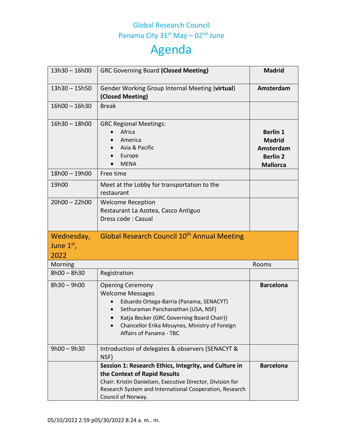## Global Research Council Panama City  $31^{st}$  May –  $02^{nd}$  June

| $13h30 - 16h00$                    | <b>GRC Governing Board (Closed Meeting)</b>                                                                                                                                                                                                                  | <b>Madrid</b>                                                                       |
|------------------------------------|--------------------------------------------------------------------------------------------------------------------------------------------------------------------------------------------------------------------------------------------------------------|-------------------------------------------------------------------------------------|
| $13h30 - 15h50$                    | Gender Working Group Internal Meeting (virtual)<br>(Closed Meeting)                                                                                                                                                                                          | Amsterdam                                                                           |
| $16h00 - 16h30$                    | <b>Break</b>                                                                                                                                                                                                                                                 |                                                                                     |
| $16h30 - 18h00$                    | <b>GRC Regional Meetings:</b><br>Africa<br>America<br>Asia & Pacific<br>Europe<br><b>MENA</b>                                                                                                                                                                | <b>Berlin 1</b><br><b>Madrid</b><br>Amsterdam<br><b>Berlin 2</b><br><b>Mallorca</b> |
| 18h00 - 19h00                      | Free time                                                                                                                                                                                                                                                    |                                                                                     |
| 19h00                              | Meet at the Lobby for transportation to the<br>restaurant                                                                                                                                                                                                    |                                                                                     |
| $20h00 - 22h00$                    | <b>Welcome Reception</b><br>Restaurant La Azotea, Casco Antiguo<br>Dress code: Casual                                                                                                                                                                        |                                                                                     |
| Wednesday,<br>June $1st$ ,<br>2022 | Global Research Council 10 <sup>th</sup> Annual Meeting                                                                                                                                                                                                      |                                                                                     |
| Morning                            |                                                                                                                                                                                                                                                              | Rooms                                                                               |
| $8h00 - 8h30$                      | Registration                                                                                                                                                                                                                                                 |                                                                                     |
| $8h30 - 9h00$                      | <b>Opening Ceremony</b><br><b>Welcome Messages</b><br>Eduardo Ortega-Barria (Panama, SENACYT)<br>Sethuraman Panchanathan (USA, NSF)<br>Katja Becker (GRC Governing Board Chair)}<br>Chancellor Erika Mouynes, Ministry of Foreign<br>Affairs of Panama - TBC | <b>Barcelona</b>                                                                    |
| $9h00 - 9h30$                      | Introduction of delegates & observers (SENACYT &<br>NSF)                                                                                                                                                                                                     |                                                                                     |
|                                    | Session 1: Research Ethics, Integrity, and Culture in<br>the Context of Rapid Results<br>Chair: Kristin Danielsen, Executive Director, Division for<br>Research System and International Cooperation, Research<br>Council of Norway.                         | <b>Barcelona</b>                                                                    |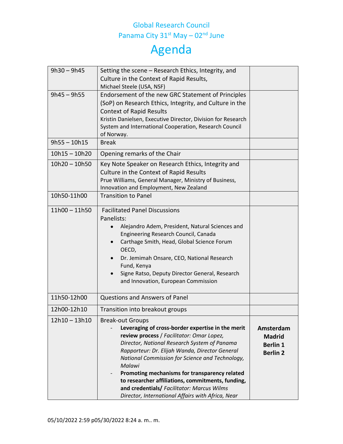### Global Research Council Panama City 31<sup>st</sup> May – 02<sup>nd</sup> June

| $9h30 - 9h45$   | Setting the scene – Research Ethics, Integrity, and<br>Culture in the Context of Rapid Results,<br>Michael Steele (USA, NSF)                                                                                                                                                                                                                                                                                                                                                                      |                                                                  |
|-----------------|---------------------------------------------------------------------------------------------------------------------------------------------------------------------------------------------------------------------------------------------------------------------------------------------------------------------------------------------------------------------------------------------------------------------------------------------------------------------------------------------------|------------------------------------------------------------------|
| $9h45 - 9h55$   | Endorsement of the new GRC Statement of Principles<br>(SoP) on Research Ethics, Integrity, and Culture in the<br><b>Context of Rapid Results</b><br>Kristin Danielsen, Executive Director, Division for Research<br>System and International Cooperation, Research Council<br>of Norway.                                                                                                                                                                                                          |                                                                  |
| $9h55 - 10h15$  | <b>Break</b>                                                                                                                                                                                                                                                                                                                                                                                                                                                                                      |                                                                  |
| $10h15 - 10h20$ | Opening remarks of the Chair                                                                                                                                                                                                                                                                                                                                                                                                                                                                      |                                                                  |
| $10h20 - 10h50$ | Key Note Speaker on Research Ethics, Integrity and<br>Culture in the Context of Rapid Results<br>Prue Williams, General Manager, Ministry of Business,<br>Innovation and Employment, New Zealand                                                                                                                                                                                                                                                                                                  |                                                                  |
| 10h50-11h00     | <b>Transition to Panel</b>                                                                                                                                                                                                                                                                                                                                                                                                                                                                        |                                                                  |
| $11h00 - 11h50$ | <b>Facilitated Panel Discussions</b><br>Panelists:<br>Alejandro Adem, President, Natural Sciences and<br>Engineering Research Council, Canada<br>Carthage Smith, Head, Global Science Forum<br>$\bullet$<br>OECD,<br>Dr. Jemimah Onsare, CEO, National Research<br>$\bullet$<br>Fund, Kenya<br>Signe Ratso, Deputy Director General, Research<br>and Innovation, European Commission                                                                                                              |                                                                  |
| 11h50-12h00     | <b>Questions and Answers of Panel</b>                                                                                                                                                                                                                                                                                                                                                                                                                                                             |                                                                  |
| 12h00-12h10     | Transition into breakout groups                                                                                                                                                                                                                                                                                                                                                                                                                                                                   |                                                                  |
| $12h10 - 13h10$ | <b>Break-out Groups</b><br>Leveraging of cross-border expertise in the merit<br>review process / Facilitator: Omar Lopez,<br>Director, National Research System of Panama<br>Rapporteur: Dr. Elijah Wanda, Director General<br>National Commission for Science and Technology,<br>Malawi<br>Promoting mechanisms for transparency related<br>to researcher affiliations, commitments, funding,<br>and credentials/ Facilitator: Marcus Wilms<br>Director, International Affairs with Africa, Near | Amsterdam<br><b>Madrid</b><br><b>Berlin 1</b><br><b>Berlin 2</b> |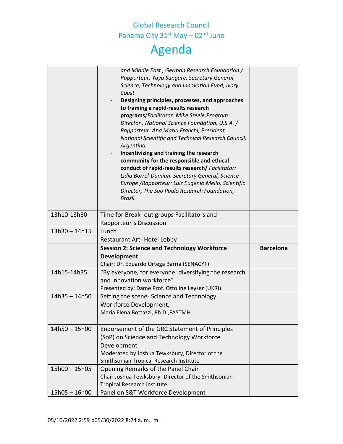## Global Research Council Panama City 31<sup>st</sup> May – 02<sup>nd</sup> June Agenda

|                 | and Middle East, German Research Foundation /                            |                  |
|-----------------|--------------------------------------------------------------------------|------------------|
|                 | Rapporteur: Yaya Sangare, Secretary General,                             |                  |
|                 | Science, Technology and Innovation Fund, Ivory                           |                  |
|                 | Coast                                                                    |                  |
|                 | Designing principles, processes, and approaches                          |                  |
|                 | to framing a rapid-results research                                      |                  |
|                 | programs/Facilitator: Mike Steele, Program                               |                  |
|                 | Director, National Science Foundation, U.S.A. /                          |                  |
|                 | Rapporteur: Ana Maria Franchi, President,                                |                  |
|                 | National Scientific and Technical Research Council,                      |                  |
|                 | Argentina.                                                               |                  |
|                 | Incentivizing and training the research                                  |                  |
|                 | community for the responsible and ethical                                |                  |
|                 | conduct of rapid-results research/ Facilitator:                          |                  |
|                 | Lidia Borrel-Damian, Secretary General, Science                          |                  |
|                 | Europe / Rapporteur: Luiz Eugenio Mello, Scientific                      |                  |
|                 | Director, The Sao Paulo Research Foundation,                             |                  |
|                 | Brazil.                                                                  |                  |
|                 |                                                                          |                  |
| 13h10-13h30     | Time for Break- out groups Facilitators and                              |                  |
|                 | Rapporteur's Discussion                                                  |                  |
| $13h30 - 14h15$ | Lunch                                                                    |                  |
|                 |                                                                          |                  |
|                 | <b>Restaurant Art- Hotel Lobby</b>                                       |                  |
|                 | <b>Session 2: Science and Technology Workforce</b>                       | <b>Barcelona</b> |
|                 | <b>Development</b>                                                       |                  |
|                 | Chair: Dr. Eduardo Ortega Barria (SENACYT)                               |                  |
| 14h15-14h35     | "By everyone, for everyone: diversifying the research                    |                  |
|                 | and innovation workforce"                                                |                  |
|                 | Presented by: Dame Prof. Ottoline Leyser (UKRI)                          |                  |
| $14h35 - 14h50$ |                                                                          |                  |
|                 | Setting the scene- Science and Technology                                |                  |
|                 | Workforce Development,                                                   |                  |
|                 | Maria Elena Bottazzi, Ph.D., FASTMH                                      |                  |
|                 |                                                                          |                  |
| $14h50 - 15h00$ | Endorsement of the GRC Statement of Principles                           |                  |
|                 | (SoP) on Science and Technology Workforce                                |                  |
|                 | Development                                                              |                  |
|                 | Moderated by Joshua Tewksbury, Director of the                           |                  |
|                 | Smithsonian Tropical Research Institute                                  |                  |
| $15h00 - 15h05$ | Opening Remarks of the Panel Chair                                       |                  |
|                 | Chair Joshua Tewksbury- Director of the Smithsonian                      |                  |
| $15h05 - 16h00$ | <b>Tropical Research Institute</b><br>Panel on S&T Workforce Development |                  |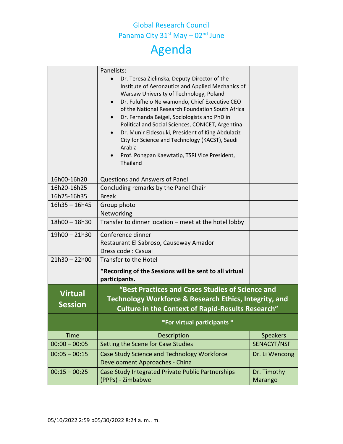## Global Research Council Panama City 31<sup>st</sup> May – 02<sup>nd</sup> June Agenda

|                 | Panelists:<br>Dr. Teresa Zielinska, Deputy-Director of the<br>Institute of Aeronautics and Applied Mechanics of<br>Warsaw University of Technology, Poland<br>Dr. Fulufhelo Nelwamondo, Chief Executive CEO<br>$\bullet$<br>of the National Research Foundation South Africa<br>Dr. Fernanda Beigel, Sociologists and PhD in<br>Political and Social Sciences, CONICET, Argentina<br>Dr. Munir Eldesouki, President of King Abdulaziz<br>City for Science and Technology (KACST), Saudi |                        |
|-----------------|-----------------------------------------------------------------------------------------------------------------------------------------------------------------------------------------------------------------------------------------------------------------------------------------------------------------------------------------------------------------------------------------------------------------------------------------------------------------------------------------|------------------------|
|                 | Arabia<br>Prof. Pongpan Kaewtatip, TSRI Vice President,<br>Thailand                                                                                                                                                                                                                                                                                                                                                                                                                     |                        |
| 16h00-16h20     | <b>Questions and Answers of Panel</b>                                                                                                                                                                                                                                                                                                                                                                                                                                                   |                        |
| 16h20-16h25     | Concluding remarks by the Panel Chair                                                                                                                                                                                                                                                                                                                                                                                                                                                   |                        |
| 16h25-16h35     | <b>Break</b>                                                                                                                                                                                                                                                                                                                                                                                                                                                                            |                        |
| $16h35 - 16h45$ | Group photo                                                                                                                                                                                                                                                                                                                                                                                                                                                                             |                        |
|                 | Networking                                                                                                                                                                                                                                                                                                                                                                                                                                                                              |                        |
| $18h00 - 18h30$ | Transfer to dinner location - meet at the hotel lobby                                                                                                                                                                                                                                                                                                                                                                                                                                   |                        |
| $19h00 - 21h30$ | Conference dinner                                                                                                                                                                                                                                                                                                                                                                                                                                                                       |                        |
|                 | Restaurant El Sabroso, Causeway Amador                                                                                                                                                                                                                                                                                                                                                                                                                                                  |                        |
|                 | Dress code: Casual                                                                                                                                                                                                                                                                                                                                                                                                                                                                      |                        |
| $21h30 - 22h00$ | Transfer to the Hotel                                                                                                                                                                                                                                                                                                                                                                                                                                                                   |                        |
|                 | *Recording of the Sessions will be sent to all virtual<br>participants.                                                                                                                                                                                                                                                                                                                                                                                                                 |                        |
|                 | "Best Practices and Cases Studies of Science and                                                                                                                                                                                                                                                                                                                                                                                                                                        |                        |
| <b>Virtual</b>  | Technology Workforce & Research Ethics, Integrity, and                                                                                                                                                                                                                                                                                                                                                                                                                                  |                        |
| <b>Session</b>  | <b>Culture in the Context of Rapid-Results Research"</b>                                                                                                                                                                                                                                                                                                                                                                                                                                |                        |
|                 | *For virtual participants *                                                                                                                                                                                                                                                                                                                                                                                                                                                             |                        |
| <b>Time</b>     | Description                                                                                                                                                                                                                                                                                                                                                                                                                                                                             | <b>Speakers</b>        |
| $00:00 - 00:05$ | Setting the Scene for Case Studies                                                                                                                                                                                                                                                                                                                                                                                                                                                      | SENACYT/NSF            |
| $00:05 - 00:15$ | Case Study Science and Technology Workforce<br>Development Approaches - China                                                                                                                                                                                                                                                                                                                                                                                                           | Dr. Li Wencong         |
| $00:15 - 00:25$ | Case Study Integrated Private Public Partnerships<br>(PPPs) - Zimbabwe                                                                                                                                                                                                                                                                                                                                                                                                                  | Dr. Timothy<br>Marango |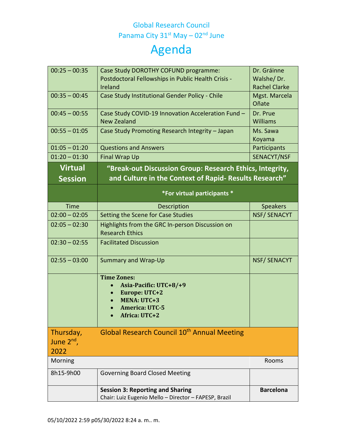### Global Research Council Panama City 31<sup>st</sup> May – 02<sup>nd</sup> June

| $00:25 - 00:35$              | Case Study DOROTHY COFUND programme:<br>Postdoctoral Fellowships in Public Health Crisis -                                       | Dr. Gráinne<br>Walshe/Dr. |
|------------------------------|----------------------------------------------------------------------------------------------------------------------------------|---------------------------|
|                              | Ireland                                                                                                                          | <b>Rachel Clarke</b>      |
| $00:35 - 00:45$              | Case Study Institutional Gender Policy - Chile                                                                                   | Mgst. Marcela<br>Oñate    |
| $00:45 - 00:55$              | Case Study COVID-19 Innovation Acceleration Fund -<br><b>New Zealand</b>                                                         | Dr. Prue<br>Williams      |
| $00:55 - 01:05$              | Case Study Promoting Research Integrity - Japan                                                                                  | Ms. Sawa<br>Koyama        |
| $01:05 - 01:20$              | <b>Questions and Answers</b>                                                                                                     | Participants              |
| $01:20 - 01:30$              | <b>Final Wrap Up</b>                                                                                                             | SENACYT/NSF               |
| <b>Virtual</b>               | "Break-out Discussion Group: Research Ethics, Integrity,                                                                         |                           |
| <b>Session</b>               | and Culture in the Context of Rapid- Results Research"                                                                           |                           |
|                              | *For virtual participants *                                                                                                      |                           |
| <b>Time</b>                  | Description                                                                                                                      | <b>Speakers</b>           |
| $02:00 - 02:05$              | Setting the Scene for Case Studies                                                                                               | <b>NSF/SENACYT</b>        |
| $02:05 - 02:30$              | Highlights from the GRC In-person Discussion on<br><b>Research Ethics</b>                                                        |                           |
| $02:30 - 02:55$              | <b>Facilitated Discussion</b>                                                                                                    |                           |
| $02:55 - 03:00$              | <b>Summary and Wrap-Up</b>                                                                                                       | NSF/SENACYT               |
|                              | <b>Time Zones:</b><br>Asia-Pacific: UTC+8/+9<br>Europe: UTC+2<br><b>MENA: UTC+3</b><br><b>America: UTC-5</b><br>Africa: $IITC+2$ |                           |
| Thursday,<br>June $2^{nd}$ , | Global Research Council 10 <sup>th</sup> Annual Meeting                                                                          |                           |
| 2022                         |                                                                                                                                  |                           |
| Morning                      |                                                                                                                                  | Rooms                     |
| 8h15-9h00                    | <b>Governing Board Closed Meeting</b>                                                                                            |                           |
|                              | <b>Session 3: Reporting and Sharing</b><br>Chair: Luiz Eugenio Mello - Director - FAPESP, Brazil                                 | <b>Barcelona</b>          |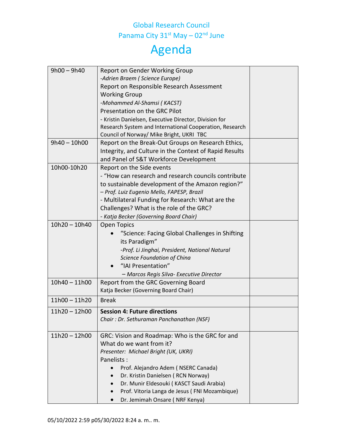#### Global Research Council Panama City 31<sup>st</sup> May – 02<sup>nd</sup> June

| $9h00 - 9h40$   | Report on Gender Working Group                          |  |
|-----------------|---------------------------------------------------------|--|
|                 | -Adrien Braem (Science Europe)                          |  |
|                 | Report on Responsible Research Assessment               |  |
|                 | <b>Working Group</b>                                    |  |
|                 | -Mohammed Al-Shamsi (KACST)                             |  |
|                 | Presentation on the GRC Pilot                           |  |
|                 | - Kristin Danielsen, Executive Director, Division for   |  |
|                 | Research System and International Cooperation, Research |  |
|                 | Council of Norway/ Mike Bright, UKRI TBC                |  |
| $9h40 - 10h00$  | Report on the Break-Out Groups on Research Ethics,      |  |
|                 | Integrity, and Culture in the Context of Rapid Results  |  |
|                 | and Panel of S&T Workforce Development                  |  |
| 10h00-10h20     | Report on the Side events                               |  |
|                 | - "How can research and research councils contribute    |  |
|                 | to sustainable development of the Amazon region?"       |  |
|                 | - Prof. Luiz Eugenio Mello, FAPESP, Brazil              |  |
|                 | - Multilateral Funding for Research: What are the       |  |
|                 | Challenges? What is the role of the GRC?                |  |
|                 | - Katja Becker (Governing Board Chair)                  |  |
| $10h20 - 10h40$ | <b>Open Topics</b>                                      |  |
|                 | "Science: Facing Global Challenges in Shifting          |  |
|                 | its Paradigm"                                           |  |
|                 | -Prof. Li Jinghai, President, National Natural          |  |
|                 | Science Foundation of China                             |  |
|                 | "IAI Presentation"                                      |  |
|                 | - Marcos Regis Silva- Executive Director                |  |
| $10h40 - 11h00$ | Report from the GRC Governing Board                     |  |
|                 | Katja Becker (Governing Board Chair)                    |  |
| $11h00 - 11h20$ | <b>Break</b>                                            |  |
| $11h20 - 12h00$ | <b>Session 4: Future directions</b>                     |  |
|                 | Chair: Dr. Sethuraman Panchanathan (NSF)                |  |
|                 |                                                         |  |
| $11h20 - 12h00$ | GRC: Vision and Roadmap: Who is the GRC for and         |  |
|                 | What do we want from it?                                |  |
|                 | Presenter: Michael Bright (UK, UKRI)                    |  |
|                 | Panelists:                                              |  |
|                 | Prof. Alejandro Adem (NSERC Canada)                     |  |
|                 | Dr. Kristin Danielsen (RCN Norway)                      |  |
|                 | Dr. Munir Eldesouki (KASCT Saudi Arabia)                |  |
|                 | Prof. Vitoria Langa de Jesus (FNI Mozambique)           |  |
|                 | Dr. Jemimah Onsare (NRF Kenya)                          |  |